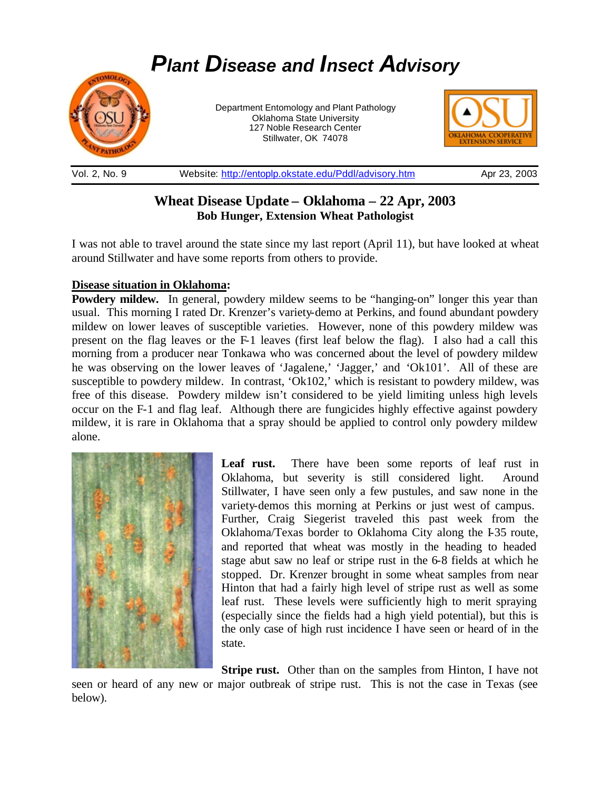# *Plant Disease and Insect Advisory*



Department Entomology and Plant Pathology Oklahoma State University 127 Noble Research Center Stillwater, OK 74078



#### Vol. 2, No. 9 Website: http://entoplp.okstate.edu/Pddl/advisory.htm Apr 23, 2003

# **Wheat Disease Update – Oklahoma – 22 Apr, 2003 Bob Hunger, Extension Wheat Pathologist**

I was not able to travel around the state since my last report (April 11), but have looked at wheat around Stillwater and have some reports from others to provide.

## **Disease situation in Oklahoma:**

**Powdery mildew.** In general, powdery mildew seems to be "hanging-on" longer this year than usual. This morning I rated Dr. Krenzer's variety-demo at Perkins, and found abundant powdery mildew on lower leaves of susceptible varieties. However, none of this powdery mildew was present on the flag leaves or the F-1 leaves (first leaf below the flag). I also had a call this morning from a producer near Tonkawa who was concerned about the level of powdery mildew he was observing on the lower leaves of 'Jagalene,' 'Jagger,' and 'Ok101'. All of these are susceptible to powdery mildew. In contrast, 'Ok102,' which is resistant to powdery mildew, was free of this disease. Powdery mildew isn't considered to be yield limiting unless high levels occur on the F-1 and flag leaf. Although there are fungicides highly effective against powdery mildew, it is rare in Oklahoma that a spray should be applied to control only powdery mildew alone.



Leaf rust. There have been some reports of leaf rust in Oklahoma, but severity is still considered light. Around Stillwater, I have seen only a few pustules, and saw none in the variety-demos this morning at Perkins or just west of campus. Further, Craig Siegerist traveled this past week from the Oklahoma/Texas border to Oklahoma City along the I-35 route, and reported that wheat was mostly in the heading to headed stage abut saw no leaf or stripe rust in the 6-8 fields at which he stopped. Dr. Krenzer brought in some wheat samples from near Hinton that had a fairly high level of stripe rust as well as some leaf rust. These levels were sufficiently high to merit spraying (especially since the fields had a high yield potential), but this is the only case of high rust incidence I have seen or heard of in the state.

**Stripe rust.** Other than on the samples from Hinton, I have not seen or heard of any new or major outbreak of stripe rust. This is not the case in Texas (see below).